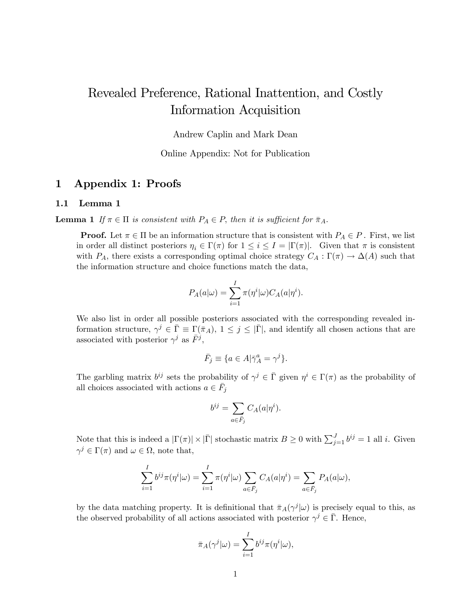# Revealed Preference, Rational Inattention, and Costly Information Acquisition

Andrew Caplin and Mark Dean

Online Appendix: Not for Publication

## 1 Appendix 1: Proofs

#### 1.1 Lemma 1

**Lemma 1** If  $\pi \in \Pi$  is consistent with  $P_A \in P$ , then it is sufficient for  $\bar{\pi}_A$ .

**Proof.** Let  $\pi \in \Pi$  be an information structure that is consistent with  $P_A \in P$ . First, we list in order all distinct posteriors  $\eta_i \in \Gamma(\pi)$  for  $1 \leq i \leq I = |\Gamma(\pi)|$ . Given that  $\pi$  is consistent with  $P_A$ , there exists a corresponding optimal choice strategy  $C_A : \Gamma(\pi) \to \Delta(A)$  such that the information structure and choice functions match the data,

$$
P_A(a|\omega) = \sum_{i=1}^I \pi(\eta^i|\omega) C_A(a|\eta^i).
$$

We also list in order all possible posteriors associated with the corresponding revealed information structure,  $\gamma^j \in \overline{\Gamma} \equiv \Gamma(\overline{\pi}_A)$ ,  $1 \leq j \leq |\overline{\Gamma}|$ , and identify all chosen actions that are associated with posterior  $\gamma^j$  as  $\bar{F}^j$ ,

$$
\bar{F}_j \equiv \{ a \in A | \bar{\gamma}_A^a = \gamma^j \}.
$$

The garbling matrix  $b^{ij}$  sets the probability of  $\gamma^j \in \bar{\Gamma}$  given  $\eta^i \in \Gamma(\pi)$  as the probability of all choices associated with actions  $a \in \bar{F}_j$ 

$$
b^{ij} = \sum_{a \in \bar{F}_j} C_A(a|\eta^i).
$$

Note that this is indeed a  $|\Gamma(\pi)| \times |\bar{\Gamma}|$  stochastic matrix  $B \ge 0$  with  $\sum_{j=1}^{J} b^{ij} = 1$  all *i*. Given  $\gamma^j \in \Gamma(\pi)$  and  $\omega \in \Omega$ , note that,

$$
\sum_{i=1}^I b^{ij} \pi(\eta^i | \omega) = \sum_{i=1}^I \pi(\eta^i | \omega) \sum_{a \in \overline{F}_j} C_A(a | \eta^i) = \sum_{a \in \overline{F}_j} P_A(a | \omega),
$$

by the data matching property. It is definitional that  $\bar{\pi}_A(\gamma^j|\omega)$  is precisely equal to this, as the observed probability of all actions associated with posterior  $\gamma^j \in \overline{\Gamma}$ . Hence,

$$
\bar{\pi}_A(\gamma^j|\omega) = \sum_{i=1}^I b^{ij} \pi(\eta^i|\omega),
$$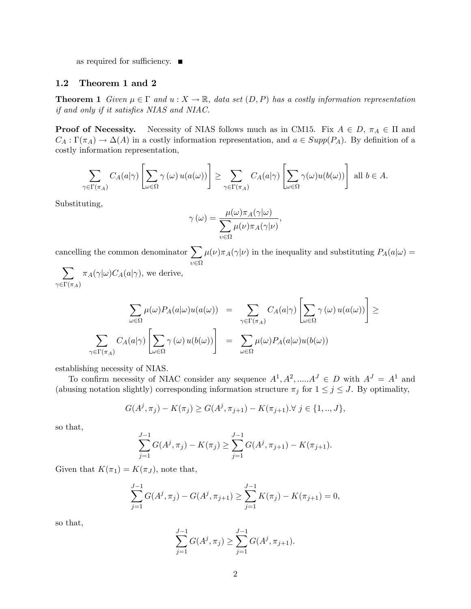as required for sufficiency.  $\blacksquare$ 

#### 1.2 Theorem 1 and 2

**Theorem 1** Given  $\mu \in \Gamma$  and  $u : X \to \mathbb{R}$ , data set  $(D, P)$  has a costly information representation if and only if it satisfies  $NIAS$  and  $NIAC$ .

**Proof of Necessity.** Necessity of NIAS follows much as in CM15. Fix  $A \in D$ ,  $\pi_A \in \Pi$  and  $C_A: \Gamma(\pi_A) \to \Delta(A)$  in a costly information representation, and  $a \in Supp(P_A)$ . By definition of a costly information representation,

$$
\sum_{\gamma \in \Gamma(\pi_A)} C_A(a|\gamma) \left[ \sum_{\omega \in \Omega} \gamma(\omega) u(a(\omega)) \right] \ge \sum_{\gamma \in \Gamma(\pi_A)} C_A(a|\gamma) \left[ \sum_{\omega \in \Omega} \gamma(\omega) u(b(\omega)) \right] \text{ all } b \in A.
$$

Substituting,

$$
\gamma(\omega) = \frac{\mu(\omega)\pi_A(\gamma|\omega)}{\sum_{\nu \in \Omega} \mu(\nu)\pi_A(\gamma|\nu)},
$$

cancelling the common denominator  $\sum$  $\sum_{\nu \in \Omega} \mu(\nu) \pi_A(\gamma | \nu)$  in the inequality and substituting  $P_A(a | \omega) =$ 

 $\sum$  $\gamma{\in}\Gamma(\pi_A)$  $\pi_A(\gamma|\omega)C_A(a|\gamma)$ , we derive,

$$
\sum_{\omega \in \Omega} \mu(\omega) P_A(a|\omega) u(a(\omega)) = \sum_{\gamma \in \Gamma(\pi_A)} C_A(a|\gamma) \left[ \sum_{\omega \in \Omega} \gamma(\omega) u(a(\omega)) \right] \ge
$$
  

$$
\sum_{\gamma \in \Gamma(\pi_A)} C_A(a|\gamma) \left[ \sum_{\omega \in \Omega} \gamma(\omega) u(b(\omega)) \right] = \sum_{\omega \in \Omega} \mu(\omega) P_A(a|\omega) u(b(\omega))
$$

establishing necessity of NIAS.

To confirm necessity of NIAC consider any sequence  $A^1, A^2, \dots, A^J \in D$  with  $A^J = A^1$  and (abusing notation slightly) corresponding information structure  $\pi_j$  for  $1 \le j \le J$ . By optimality,

$$
G(A^j, \pi_j) - K(\pi_j) \ge G(A^j, \pi_{j+1}) - K(\pi_{j+1}). \forall j \in \{1, ..., J\},\
$$

so that,

$$
\sum_{j=1}^{J-1} G(A^j, \pi_j) - K(\pi_j) \ge \sum_{j=1}^{J-1} G(A^j, \pi_{j+1}) - K(\pi_{j+1}).
$$

Given that  $K(\pi_1) = K(\pi_J)$ , note that,

$$
\sum_{j=1}^{J-1} G(A^j, \pi_j) - G(A^j, \pi_{j+1}) \ge \sum_{j=1}^{J-1} K(\pi_j) - K(\pi_{j+1}) = 0,
$$

so that,

$$
\sum_{j=1}^{J-1} G(A^j, \pi_j) \ge \sum_{j=1}^{J-1} G(A^j, \pi_{j+1}).
$$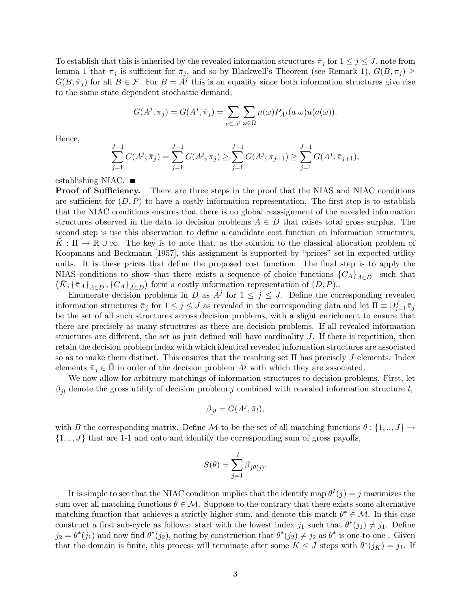To establish that this is inherited by the revealed information structures  $\bar{\pi}_j$  for  $1 \leq j \leq J$ , note from lemma 1 that  $\pi_j$  is sufficient for  $\bar{\pi}_j$ , and so by Blackwell's Theorem (see Remark 1),  $G(B, \pi_j) \ge$  $G(B,\bar{\pi}_j)$  for all  $B \in \mathcal{F}$ . For  $B = A^j$  this is an equality since both information structures give rise to the same state dependent stochastic demand,

$$
G(A^j, \pi_j) = G(A^j, \bar{\pi}_j) = \sum_{a \in A^j} \sum_{\omega \in \Omega} \mu(\omega) P_{A^j}(a|\omega) u(a(\omega)).
$$

Hence,

$$
\sum_{j=1}^{J-1} G(A^j, \bar{\pi}_j) = \sum_{j=1}^{J-1} G(A^j, \pi_j) \ge \sum_{j=1}^{J-1} G(A^j, \pi_{j+1}) \ge \sum_{j=1}^{J-1} G(A^j, \bar{\pi}_{j+1}),
$$

establishing NIAC.  $\blacksquare$ 

**Proof of Sufficiency.** There are three steps in the proof that the NIAS and NIAC conditions are sufficient for  $(D, P)$  to have a costly information representation. The first step is to establish that the NIAC conditions ensures that there is no global reassignment of the revealed information structures observed in the data to decision problems  $A \in D$  that raises total gross surplus. The second step is use this observation to define a candidate cost function on information structures,  $K : \Pi \to \mathbb{R} \cup \infty$ . The key is to note that, as the solution to the classical allocation problem of Koopmans and Beckmann [1957], this assignment is supported by "prices" set in expected utility units. It is these prices that define the proposed cost function. The final step is to apply the NIAS conditions to show that there exists a sequence of choice functions  ${C_A}_{A\in D}$  such that  $(\bar{K}, \{\bar{\pi}_A\}_{A\in D}, \{C_A\}_{A\in D})$  form a costly information representation of  $(D, P)$ .

Enumerate decision problems in D as  $A^j$  for  $1 \leq j \leq J$ . Define the corresponding revealed information structures  $\bar{\pi}_j$  for  $1 \le j \le J$  as revealed in the corresponding data and let  $\bar{\Pi} \equiv \cup_{j=1}^J \bar{\pi}_j$ be the set of all such structures across decision problems, with a slight enrichment to ensure that there are precisely as many structures as there are decision problems. If all revealed information structures are different, the set as just defined will have cardinality  $J$ . If there is repetition, then retain the decision problem index with which identical revealed information structures are associated so as to make them distinct. This ensures that the resulting set  $\Pi$  has precisely  $J$  elements. Index elements  $\bar{\pi}_i \in \Pi$  in order of the decision problem  $A^j$  with which they are associated.

We now allow for arbitrary matchings of information structures to decision problems. First, let  $\beta_{il}$  denote the gross utility of decision problem j combined with revealed information structure l,

$$
\beta_{jl} = G(A^j, \bar{\pi}_l),
$$

with B the corresponding matrix. Define M to be the set of all matching functions  $\theta: \{1, ..., J\} \rightarrow$  $\{1, ..., J\}$  that are 1-1 and onto and identify the corresponding sum of gross payoffs,

$$
S(\theta) = \sum_{j=1}^{J} \beta_{j\theta(j)}.
$$

It is simple to see that the NIAC condition implies that the identify map  $\theta^I(j) = j$  maximizes the sum over all matching functions  $\theta \in \mathcal{M}$ . Suppose to the contrary that there exists some alternative matching function that achieves a strictly higher sum, and denote this match  $\theta^* \in \mathcal{M}$ . In this case construct a first sub-cycle as follows: start with the lowest index  $j_1$  such that  $\theta^*(j_1) \neq j_1$ . Define  $j_2 = \theta^*(j_1)$  and now find  $\theta^*(j_2)$ , noting by construction that  $\theta^*(j_2) \neq j_2$  as  $\theta^*$  is one-to-one. Given that the domain is finite, this process will terminate after some  $K \leq J$  steps with  $\theta^*(j_K) = j_1$ . If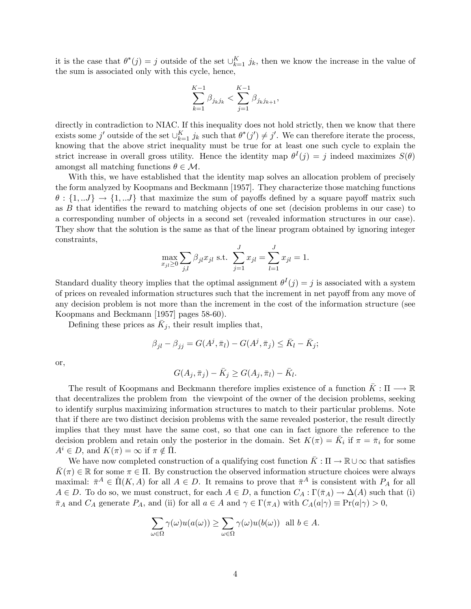it is the case that  $\theta^*(j) = j$  outside of the set  $\cup_{k=1}^K j_k$ , then we know the increase in the value of the sum is associated only with this cycle, hence,

$$
\sum_{k=1}^{K-1} \beta_{j_k j_k} < \sum_{j=1}^{K-1} \beta_{j_k j_{k+1}},
$$

directly in contradiction to NIAC. If this inequality does not hold strictly, then we know that there exists some j' outside of the set  $\bigcup_{k=1}^K j_k$  such that  $\theta^*(j') \neq j'$ . We can therefore iterate the process, knowing that the above strict inequality must be true for at least one such cycle to explain the strict increase in overall gross utility. Hence the identity map  $\theta^I(j) = j$  indeed maximizes  $S(\theta)$ amongst all matching functions  $\theta \in \mathcal{M}$ .

With this, we have established that the identity map solves an allocation problem of precisely the form analyzed by Koopmans and Beckmann [1957]. They characterize those matching functions  $\theta: \{1, J\} \to \{1, J\}$  that maximize the sum of payoffs defined by a square payoff matrix such as  $B$  that identifies the reward to matching objects of one set (decision problems in our case) to a corresponding number of objects in a second set (revealed information structures in our case). They show that the solution is the same as that of the linear program obtained by ignoring integer constraints,

$$
\max_{x_{jl} \ge 0} \sum_{j,l} \beta_{jl} x_{jl} \text{ s.t. } \sum_{j=1}^{J} x_{jl} = \sum_{l=1}^{J} x_{jl} = 1.
$$

Standard duality theory implies that the optimal assignment  $\theta^I(j) = j$  is associated with a system of prices on revealed information structures such that the increment in net payoff from any move of any decision problem is not more than the increment in the cost of the information structure (see Koopmans and Beckmann [1957] pages 58-60).

Defining these prices as  $\bar{K}_j$ , their result implies that,

$$
\beta_{jl} - \beta_{jj} = G(A^j, \bar{\pi}_l) - G(A^j, \bar{\pi}_j) \le \bar{K}_l - \bar{K}_j;
$$

or,

$$
G(A_j, \bar{\pi}_j) - \bar{K}_j \ge G(A_j, \bar{\pi}_l) - \bar{K}_l.
$$

The result of Koopmans and Beckmann therefore implies existence of a function  $\bar{K}: \Pi \longrightarrow \mathbb{R}$ that decentralizes the problem from the viewpoint of the owner of the decision problems, seeking to identify surplus maximizing information structures to match to their particular problems. Note that if there are two distinct decision problems with the same revealed posterior, the result directly implies that they must have the same cost, so that one can in fact ignore the reference to the decision problem and retain only the posterior in the domain. Set  $K(\pi) = \overline{K}_i$  if  $\pi = \overline{\pi}_i$  for some  $A^i \in D$ , and  $K(\pi) = \infty$  if  $\pi \notin \Pi$ .

We have now completed construction of a qualifying cost function  $\bar{K}: \Pi \to \mathbb{R} \cup \infty$  that satisfies  $\bar{K}(\pi) \in \mathbb{R}$  for some  $\pi \in \Pi$ . By construction the observed information structure choices were always maximal:  $\bar{\pi}^A \in \hat{\Pi}(K, A)$  for all  $A \in D$ . It remains to prove that  $\bar{\pi}^A$  is consistent with  $P_A$  for all  $A \in D$ . To do so, we must construct, for each  $A \in D$ , a function  $C_A : \Gamma(\bar{\pi}_A) \to \Delta(A)$  such that (i)  $\bar{\pi}_A$  and  $C_A$  generate  $P_A$ , and (ii) for all  $a \in A$  and  $\gamma \in \Gamma(\pi_A)$  with  $C_A(a|\gamma) \equiv \Pr(a|\gamma) > 0$ ,

$$
\sum_{\omega \in \Omega} \gamma(\omega) u(a(\omega)) \ge \sum_{\omega \in \Omega} \gamma(\omega) u(b(\omega)) \text{ all } b \in A.
$$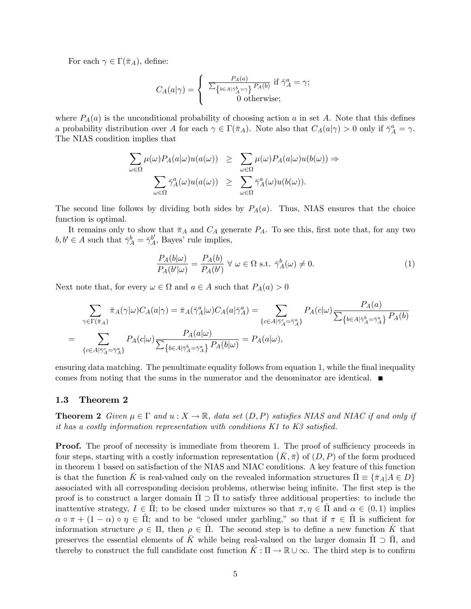For each  $\gamma \in \Gamma(\bar{\pi}_A)$ , define:

$$
C_A(a|\gamma) = \begin{cases} \frac{P_A(a)}{\sum_{\{b \in A | \bar{\gamma}_A^b = \gamma\}} P_A(b)} & \text{if } \bar{\gamma}_A^a = \gamma; \\ 0 & \text{otherwise}; \end{cases}
$$

where  $P_A(a)$  is the unconditional probability of choosing action a in set A. Note that this defines a probability distribution over A for each  $\gamma \in \Gamma(\bar{\pi}_A)$ . Note also that  $C_A(a|\gamma) > 0$  only if  $\bar{\gamma}_A^a = \gamma$ . The NIAS condition implies that

$$
\sum_{\omega \in \Omega} \mu(\omega) P_A(a|\omega) u(a(\omega)) \geq \sum_{\omega \in \Omega} \mu(\omega) P_A(a|\omega) u(b(\omega)) \Rightarrow
$$

$$
\sum_{\omega \in \Omega} \bar{\gamma}_A^a(\omega) u(a(\omega)) \geq \sum_{\omega \in \Omega} \bar{\gamma}_A^a(\omega) u(b(\omega)).
$$

The second line follows by dividing both sides by  $P_A(a)$ . Thus, NIAS ensures that the choice function is optimal.

It remains only to show that  $\bar{\pi}_A$  and  $C_A$  generate  $P_A$ . To see this, first note that, for any two  $b, b' \in A$  such that  $\bar{\gamma}_A^b = \bar{\gamma}_A^{b'}$ , Bayes' rule implies,

$$
\frac{P_A(b|\omega)}{P_A(b'|\omega)} = \frac{P_A(b)}{P_A(b')} \,\forall \,\omega \in \Omega \text{ s.t. } \bar{\gamma}_A^b(\omega) \neq 0.
$$
\n(1)

Next note that, for every  $\omega \in \Omega$  and  $a \in A$  such that  $P_A(a) > 0$ 

$$
\sum_{\gamma \in \Gamma(\bar{\pi}_A)} \bar{\pi}_A(\gamma | \omega) C_A(a | \gamma) = \bar{\pi}_A(\bar{\gamma}_A^a | \omega) C_A(a | \bar{\gamma}_A^a) = \sum_{\{c \in A | \bar{\gamma}_A^c = \bar{\gamma}_A^a\}} P_A(c | \omega) \frac{P_A(a)}{\sum_{\{b \in A | \bar{\gamma}_A^b = \bar{\gamma}_A^a\}} P_A(b)}
$$
\n
$$
= \sum_{\{c \in A | \bar{\gamma}_A^c = \bar{\gamma}_A^a\}} P_A(c | \omega) \frac{P_A(a | \omega)}{\sum_{\{b \in A | \bar{\gamma}_A^b = \bar{\gamma}_A^a\}} P_A(b | \omega)} = P_A(a | \omega),
$$

ensuring data matching. The penultimate equality follows from equation 1, while the final inequality comes from noting that the sums in the numerator and the denominator are identical.  $\blacksquare$ 

#### 1.3 Theorem 2

**Theorem 2** Given  $\mu \in \Gamma$  and  $u : X \to \mathbb{R}$ , data set  $(D, P)$  satisfies NIAS and NIAC if and only if it has a costly information representation with conditions  $K1$  to  $K3$  satisfied.

**Proof.** The proof of necessity is immediate from theorem 1. The proof of sufficiency proceeds in four steps, starting with a costly information representation  $(K, \bar{\pi})$  of  $(D, P)$  of the form produced in theorem 1 based on satisfaction of the NIAS and NIAC conditions. A key feature of this function is that the function K is real-valued only on the revealed information structures  $\Pi \equiv {\{\bar{\pi}_A | A \in D\}}$ associated with all corresponding decision problems, otherwise being infinite. The first step is the proof is to construct a larger domain  $\Pi \supset \Pi$  to satisfy three additional properties: to include the inattentive strategy,  $I \in \Pi$ ; to be closed under mixtures so that  $\pi, \eta \in \Pi$  and  $\alpha \in (0,1)$  implies  $\alpha \circ \pi + (1 - \alpha) \circ \eta \in \Pi$ ; and to be "closed under garbling," so that if  $\pi \in \Pi$  is sufficient for information structure  $\rho \in \Pi$ , then  $\rho \in \Pi$ . The second step is to define a new function  $\tilde{K}$  that preserves the essential elements of  $\bar{K}$  while being real-valued on the larger domain  $\Pi \supset \bar{\Pi}$ , and thereby to construct the full candidate cost function  $K : \Pi \to \mathbb{R} \cup \infty$ . The third step is to confirm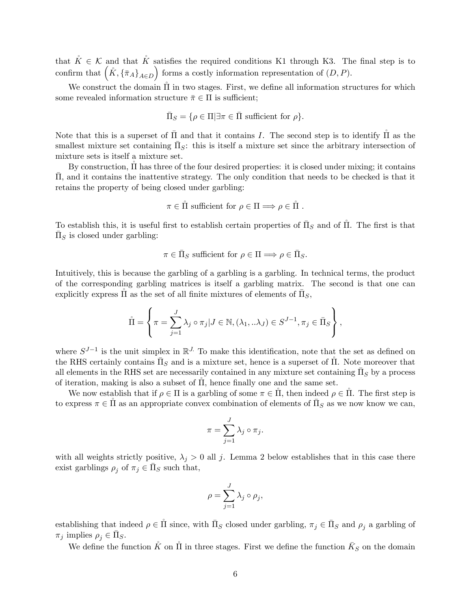that  $\mathring{K} \in \mathcal{K}$  and that  $\mathring{K}$  satisfies the required conditions K1 through K3. The final step is to confirm that  $(\mathring{K}, \{\bar{\pi}_A\}_{A \in D})$  forms a costly information representation of  $(D, P)$ .

We construct the domain  $\tilde{\Pi}$  in two stages. First, we define all information structures for which some revealed information structure  $\bar{\pi} \in \Pi$  is sufficient;

$$
\bar{\Pi}_S = \{ \rho \in \Pi | \exists \pi \in \bar{\Pi} \text{ sufficient for } \rho \}.
$$

Note that this is a superset of  $\bar{\Pi}$  and that it contains I. The second step is to identify  $\tilde{\Pi}$  as the smallest mixture set containing  $\bar{\Pi}_S$ : this is itself a mixture set since the arbitrary intersection of mixture sets is itself a mixture set.

By construction,  $\Pi$  has three of the four desired properties: it is closed under mixing; it contains , and it contains the inattentive strategy. The only condition that needs to be checked is that it retains the property of being closed under garbling:

$$
\pi \in \mathring{\Pi}
$$
 sufficient for  $\rho \in \Pi \Longrightarrow \rho \in \mathring{\Pi}$ .

To establish this, it is useful first to establish certain properties of  $\bar{\Pi}_S$  and of  $\hat{\Pi}$ . The first is that  $\bar{\Pi}_S$  is closed under garbling:

$$
\pi\in\bar{\Pi}_S\text{ sufficient for }\rho\in\Pi\Longrightarrow \rho\in\bar{\Pi}_S.
$$

Intuitively, this is because the garbling of a garbling is a garbling. In technical terms, the product of the corresponding garbling matrices is itself a garbling matrix. The second is that one can explicitly express  $\mathring{\Pi}$  as the set of all finite mixtures of elements of  $\bar{\Pi}_S$ ,

$$
\mathring{\Pi} = \left\{ \pi = \sum_{j=1}^{J} \lambda_j \circ \pi_j | J \in \mathbb{N}, (\lambda_1, \ldots \lambda_J) \in S^{J-1}, \pi_j \in \overline{\Pi}_S \right\},\
$$

where  $S^{J-1}$  is the unit simplex in  $\mathbb{R}^J$ . To make this identification, note that the set as defined on the RHS certainly contains  $\bar{\Pi}_S$  and is a mixture set, hence is a superset of  $\hat{\Pi}$ . Note moreover that all elements in the RHS set are necessarily contained in any mixture set containing  $\bar{\Pi}_S$  by a process of iteration, making is also a subset of  $\Pi$ , hence finally one and the same set.

We now establish that if  $\rho \in \Pi$  is a garbling of some  $\pi \in \Pi$ , then indeed  $\rho \in \Pi$ . The first step is to express  $\pi \in \mathring{\Pi}$  as an appropriate convex combination of elements of  $\bar{\Pi}_S$  as we now know we can,

$$
\pi = \sum_{j=1}^{J} \lambda_j \circ \pi_j.
$$

with all weights strictly positive,  $\lambda_j > 0$  all j. Lemma 2 below establishes that in this case there exist garblings  $\rho_j$  of  $\pi_j \in \bar{\Pi}_S$  such that,

$$
\rho = \sum_{j=1}^{J} \lambda_j \circ \rho_j,
$$

establishing that indeed  $\rho \in \mathring{\Pi}$  since, with  $\bar{\Pi}_S$  closed under garbling,  $\pi_j \in \bar{\Pi}_S$  and  $\rho_j$  a garbling of  $\pi_j$  implies  $\rho_j \in \bar{\Pi}_S$ .

We define the function  $\mathring{K}$  on  $\mathring{\Pi}$  in three stages. First we define the function  $\bar{K}_S$  on the domain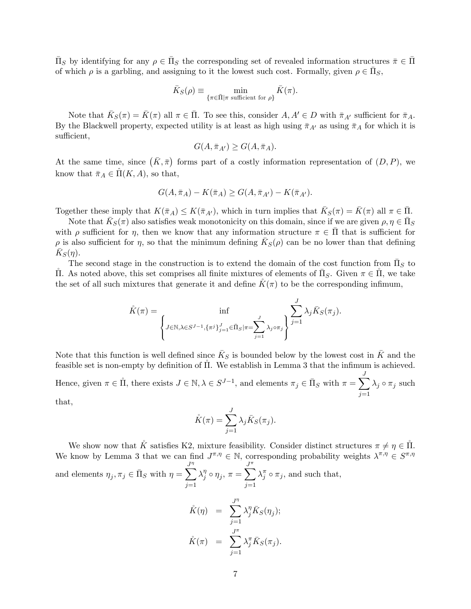$\bar{\Pi}_S$  by identifying for any  $\rho \in \bar{\Pi}_S$  the corresponding set of revealed information structures  $\bar{\pi} \in \bar{\Pi}$ of which  $\rho$  is a garbling, and assigning to it the lowest such cost. Formally, given  $\rho \in \overline{\Pi}_S$ ,

$$
\bar{K}_S(\rho) \equiv \min_{\{\pi \in \bar{\Pi} | \pi \text{ sufficient for } \rho\}} \bar{K}(\pi).
$$

Note that  $\bar{K}_S(\pi) = \bar{K}(\pi)$  all  $\pi \in \bar{\Pi}$ . To see this, consider  $A, A' \in D$  with  $\bar{\pi}_{A'}$  sufficient for  $\bar{\pi}_A$ . By the Blackwell property, expected utility is at least as high using  $\bar{\pi}_{A'}$  as using  $\bar{\pi}_A$  for which it is sufficient,

$$
G(A, \bar{\pi}_{A'}) \ge G(A, \bar{\pi}_A).
$$

At the same time, since  $(\bar{K}, \bar{\pi})$  forms part of a costly information representation of  $(D, P)$ , we know that  $\bar{\pi}_A \in \Pi(K, A)$ , so that,

$$
G(A, \bar{\pi}_A) - K(\bar{\pi}_A) \ge G(A, \bar{\pi}_{A'}) - K(\bar{\pi}_{A'}).
$$

Together these imply that  $K(\bar{\pi}_A) \leq K(\bar{\pi}_{A'})$ , which in turn implies that  $\bar{K}_S(\pi) = \bar{K}(\pi)$  all  $\pi \in \bar{\Pi}$ .

Note that  $\bar{K}_S(\pi)$  also satisfies weak monotonicity on this domain, since if we are given  $\rho, \eta \in \bar{\Pi}_S$ with  $\rho$  sufficient for  $\eta$ , then we know that any information structure  $\pi \in \overline{\Pi}$  that is sufficient for  $\rho$  is also sufficient for  $\eta$ , so that the minimum defining  $\bar{K}_{S}(\rho)$  can be no lower than that defining  $\bar{K}_S(\eta)$ .

The second stage in the construction is to extend the domain of the cost function from  $\bar{\Pi}_S$  to II. As noted above, this set comprises all finite mixtures of elements of  $\bar{\Pi}_S$ . Given  $\pi \in \dot{\Pi}$ , we take the set of all such mixtures that generate it and define  $K(\pi)$  to be the corresponding infimum,

$$
\hat{K}(\pi) = \inf_{\left\{J \in \mathbb{N}, \lambda \in S^{J-1}, \{\pi^j\}_{j=1}^J \in \bar{\Pi}_S | \pi = \sum_{j=1}^J \lambda_j \sigma_{\pi_j}\right\}} \sum_{j=1}^J \lambda_j \bar{K}_S(\pi_j).
$$

Note that this function is well defined since  $\bar{K}_S$  is bounded below by the lowest cost in  $\bar{K}$  and the feasible set is non-empty by definition of  $\Pi$ . We establish in Lemma 3 that the infimum is achieved.

Hence, given  $\pi \in \mathring{\Pi}$ , there exists  $J \in \mathbb{N}, \lambda \in S^{J-1}$ , and elements  $\pi_j \in \bar{\Pi}_S$  with  $\pi = \sum^J$  $j=1$  $\lambda_j \circ \pi_j$  such

that,

$$
\mathring{K}(\pi) = \sum_{j=1}^{J} \lambda_j \bar{K}_S(\pi_j).
$$

We show now that  $\mathring{K}$  satisfies K2, mixture feasibility. Consider distinct structures  $\pi \neq \eta \in \mathring{\Pi}$ . We know by Lemma 3 that we can find  $J^{\pi,\eta} \in \mathbb{N}$ , corresponding probability weights  $\lambda^{\pi,\eta} \in S^{\pi,\eta}$ and elements  $\eta_j, \pi_j \in \bar{\Pi}_S$  with  $\eta =$  $\sum$  $j=1$  $\lambda_i^{\eta}$  $\eta_j^{\eta} \circ \eta_j^{\eta}, \pi =$  $\sum^{\pi}$  $j=1$  $\lambda_j^{\pi} \circ \pi_j$ , and such that,

$$
\dot{K}(\eta) = \sum_{j=1}^{J^{\eta}} \lambda_j^{\eta} \bar{K}_S(\eta_j);
$$
  

$$
\dot{K}(\pi) = \sum_{j=1}^{J^{\pi}} \lambda_j^{\pi} \bar{K}_S(\pi_j).
$$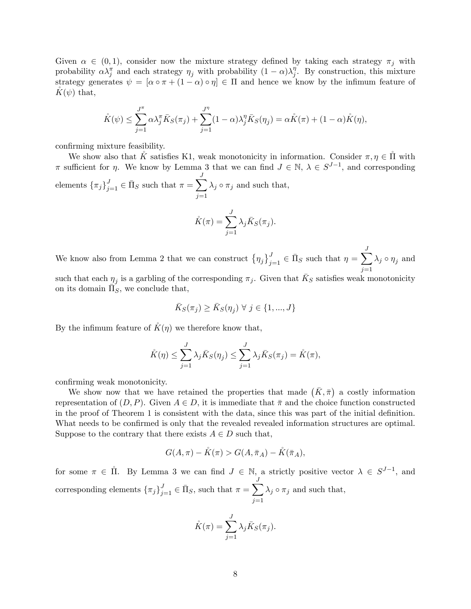Given  $\alpha \in (0,1)$ , consider now the mixture strategy defined by taking each strategy  $\pi_j$  with probability  $\alpha \lambda_j^{\pi}$  and each strategy  $\eta_j$  with probability  $(1 - \alpha) \lambda_j^{\eta}$  $j<sup>η</sup>$ . By construction, this mixture strategy generates  $\psi = [\alpha \circ \pi + (1 - \alpha) \circ \eta] \in \Pi$  and hence we know by the infimum feature of  $K(\psi)$  that,

$$
\mathring{K}(\psi) \leq \sum_{j=1}^{J^{\pi}} \alpha \lambda_j^{\pi} \bar{K}_S(\pi_j) + \sum_{j=1}^{J^{\eta}} (1-\alpha) \lambda_j^{\eta} \bar{K}_S(\eta_j) = \alpha \mathring{K}(\pi) + (1-\alpha) \mathring{K}(\eta),
$$

confirming mixture feasibility.

We show also that  $\check{K}$  satisfies K1, weak monotonicity in information. Consider  $\pi, \eta \in \mathring{\Pi}$  with  $\pi$  sufficient for  $\eta$ . We know by Lemma 3 that we can find  $J \in \mathbb{N}$ ,  $\lambda \in S^{J-1}$ , and corresponding elements  $\{\pi_j\}_{j=1}^J \in \bar{\Pi}_S$  such that  $\pi = \sum^J$  $j=1$  $\lambda_j \circ \pi_j$  and such that,

$$
\mathring{K}(\pi) = \sum_{j=1}^{J} \lambda_j \bar{K}_S(\pi_j).
$$

We know also from Lemma 2 that we can construct  $\left\{\eta_j\right\}_{j=1}^J \in \bar{\Pi}_S$  such that  $\eta = \sum^J$  $j=1$  $\lambda_j \circ \eta_j$  and

such that each  $\eta_j$  is a garbling of the corresponding  $\pi_j$ . Given that  $\bar{K}_S$  satisfies weak monotonicity on its domain  $\overline{\Pi}_S^{\sigma}$ , we conclude that,

$$
\bar{K}_S(\pi_j) \ge \bar{K}_S(\eta_j) \ \forall \ j \in \{1, ..., J\}
$$

By the infimum feature of  $K(\eta)$  we therefore know that,

$$
\hat{K}(\eta) \le \sum_{j=1}^{J} \lambda_j \bar{K}_S(\eta_j) \le \sum_{j=1}^{J} \lambda_j \bar{K}_S(\pi_j) = \hat{K}(\pi),
$$

confirming weak monotonicity.

We show now that we have retained the properties that made  $(\bar{K}, \bar{\pi})$  a costly information representation of  $(D, P)$ . Given  $A \in D$ , it is immediate that  $\bar{\pi}$  and the choice function constructed in the proof of Theorem 1 is consistent with the data, since this was part of the initial definition. What needs to be confirmed is only that the revealed revealed information structures are optimal. Suppose to the contrary that there exists  $A \in D$  such that,

$$
G(A,\pi) - \mathring{K}(\pi) > G(A,\bar{\pi}_A) - \mathring{K}(\bar{\pi}_A),
$$

for some  $\pi \in \Pi$ . By Lemma 3 we can find  $J \in \mathbb{N}$ , a strictly positive vector  $\lambda \in S^{J-1}$ , and corresponding elements  $\{\pi_j\}_{j=1}^J \in \bar{\Pi}_S$ , such that  $\pi = \sum$ J  $j=1$  $\lambda_j \circ \pi_j$  and such that,

$$
\mathring{K}(\pi) = \sum_{j=1}^{J} \lambda_j \bar{K}_S(\pi_j).
$$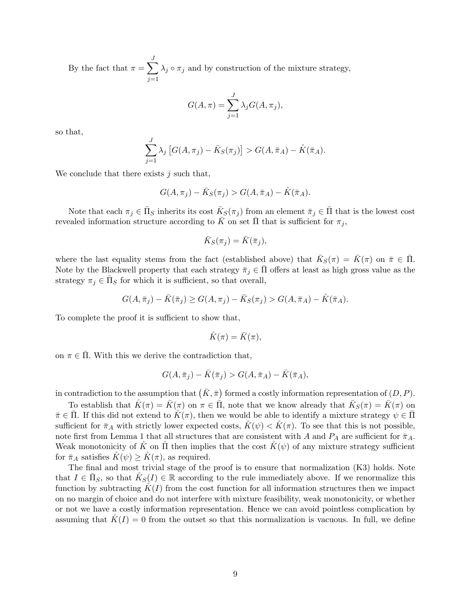By the fact that  $\pi = \sum_{i=1}^{J}$  $j=1$  $\lambda_j \circ \pi_j$  and by construction of the mixture strategy,

$$
G(A,\pi) = \sum_{j=1}^{J} \lambda_j G(A,\pi_j),
$$

so that,

$$
\sum_{j=1}^{J} \lambda_j \left[ G(A, \pi_j) - \bar{K}_S(\pi_j) \right] > G(A, \bar{\pi}_A) - \hat{K}(\bar{\pi}_A).
$$

We conclude that there exists  $j$  such that,

$$
G(A,\pi_j) - \bar{K}_S(\pi_j) > G(A,\bar{\pi}_A) - \mathring{K}(\bar{\pi}_A).
$$

Note that each  $\pi_j \in \bar{\Pi}_S$  inherits its cost  $\bar{K}_S(\pi_j)$  from an element  $\bar{\pi}_j \in \bar{\Pi}$  that is the lowest cost revealed information structure according to  $\bar{K}$  on set  $\bar{\Pi}$  that is sufficient for  $\pi_j$ ,

$$
\bar{K}_S(\pi_j) = \bar{K}(\bar{\pi}_j),
$$

where the last equality stems from the fact (established above) that  $\bar{K}_S(\pi) = \bar{K}(\pi)$  on  $\bar{\pi} \in \bar{\Pi}$ . Note by the Blackwell property that each strategy  $\bar{\pi}_j \in \Pi$  offers at least as high gross value as the strategy  $\pi_j \in \bar{\Pi}_S$  for which it is sufficient, so that overall,

$$
G(A, \bar{\pi}_j) - \bar{K}(\bar{\pi}_j) \ge G(A, \pi_j) - \bar{K}_S(\pi_j) > G(A, \bar{\pi}_A) - \hat{K}(\bar{\pi}_A).
$$

To complete the proof it is sufficient to show that,

$$
\mathring{K}(\pi)=\bar{K}(\pi),
$$

on  $\pi \in \overline{\Pi}$ . With this we derive the contradiction that,

$$
G(A,\overline{\pi}_j) - \overline{K}(\overline{\pi}_j) > G(A,\overline{\pi}_A) - \overline{K}(\overline{\pi}_A),
$$

in contradiction to the assumption that  $(K, \bar{\pi})$  formed a costly information representation of  $(D, P)$ .

To establish that  $\mathring{K}(\pi) = \bar{K}(\pi)$  on  $\pi \in \bar{\Pi}$ , note that we know already that  $\bar{K}_S(\pi) = \bar{K}(\pi)$  on  $\bar{\pi} \in \bar{\Pi}$ . If this did not extend to  $K(\pi)$ , then we would be able to identify a mixture strategy  $\psi \in \bar{\Pi}$ sufficient for  $\bar{\pi}_A$  with strictly lower expected costs,  $\check{K}(\psi) < \check{K}(\pi)$ . To see that this is not possible, note first from Lemma 1 that all structures that are consistent with A and  $P_A$  are sufficient for  $\bar{\pi}_A$ . Weak monotonicity of K on  $\Pi$  then implies that the cost  $K(\psi)$  of any mixture strategy sufficient for  $\bar{\pi}_A$  satisfies  $K(\psi) \geq K(\pi)$ , as required.

The final and most trivial stage of the proof is to ensure that normalization (K3) holds. Note that  $I \in \overline{\Pi}_S$ , so that  $\mathring{K}_S(I) \in \mathbb{R}$  according to the rule immediately above. If we renormalize this function by subtracting  $K(I)$  from the cost function for all information structures then we impact on no margin of choice and do not interfere with mixture feasibility, weak monotonicity, or whether or not we have a costly information representation. Hence we can avoid pointless complication by assuming that  $K(I) = 0$  from the outset so that this normalization is vacuous. In full, we define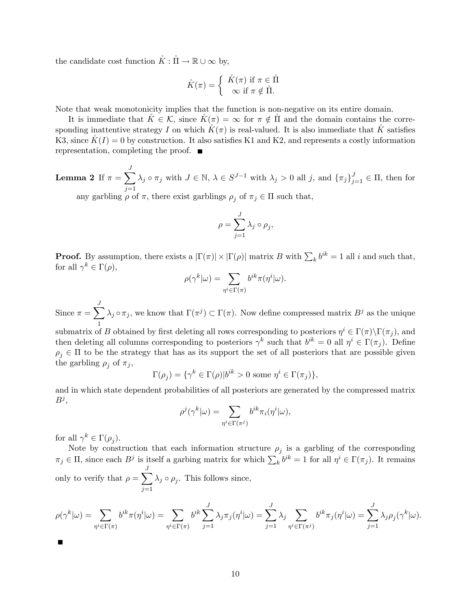the candidate cost function  $\mathring{K} : \mathring{\Pi} \to \mathbb{R} \cup \infty$  by,

$$
\mathring{K}(\pi) = \left\{ \begin{array}{c} \mathring{K}(\pi) \text{ if } \pi \in \mathring{\Pi} \\ \infty \text{ if } \pi \notin \mathring{\Pi}. \end{array} \right.
$$

Note that weak monotonicity implies that the function is non-negative on its entire domain.

It is immediate that  $\tilde{K} \in \mathcal{K}$ , since  $\tilde{K}(\pi) = \infty$  for  $\pi \notin \tilde{\Pi}$  and the domain contains the corresponding inattentive strategy I on which  $K(\pi)$  is real-valued. It is also immediate that K satisfies K3, since  $K(I) = 0$  by construction. It also satisfies K1 and K2, and represents a costly information representation, completing the proof.  $\blacksquare$ 

Lemma 2 If  $\pi = \sum_{i=1}^{J}$  $j=1$  $\lambda_j \circ \pi_j$  with  $J \in \mathbb{N}, \ \lambda \in S^{J-1}$  with  $\lambda_j > 0$  all j, and  $\{\pi_j\}_{j=1}^J \in \Pi$ , then for any garbling  $\rho$  of  $\pi,$  there exist garblings  $\rho_j$  of  $\pi_j \in \Pi$  such that,

$$
\rho = \sum_{j=1}^{J} \lambda_j \circ \rho_j,
$$

**Proof.** By assumption, there exists a  $|\Gamma(\pi)| \times |\Gamma(\rho)|$  matrix B with  $\sum_k b^{ik} = 1$  all i and such that, for all  $\gamma^k \in \Gamma(\rho)$ ,

$$
\rho(\gamma^k|\omega)=\sum_{\eta^i\in\Gamma(\pi)}b^{ik}\pi(\eta^i|\omega).
$$

Since  $\pi = \sum_{i=1}^{J}$ 1  $\lambda_j \circ \pi_j$ , we know that  $\Gamma(\pi^j) \subset \Gamma(\pi)$ . Now define compressed matrix  $B^j$  as the unique

submatrix of B obtained by first deleting all rows corresponding to posteriors  $\eta^i \in \Gamma(\pi) \backslash \Gamma(\pi_j)$ , and then deleting all columns corresponding to posteriors  $\gamma^k$  such that  $b^{ik} = 0$  all  $\eta^i \in \Gamma(\pi_j)$ . Define  $\rho_i \in \Pi$  to be the strategy that has as its support the set of all posteriors that are possible given the garbling  $\rho_j$  of  $\pi_j$ ,

$$
\Gamma(\rho_j) = \{ \gamma^k \in \Gamma(\rho) | b^{ik} > 0 \text{ some } \eta^i \in \Gamma(\pi_j) \},
$$

and in which state dependent probabilities of all posteriors are generated by the compressed matrix  $B^j,$ 

$$
\rho^j(\gamma^k|\omega) = \sum_{\eta^i \in \Gamma(\pi^j)} b^{ik} \pi_i(\eta^i|\omega),
$$

for all  $\gamma^k \in \Gamma(\rho_j)$ .

Note by construction that each information structure  $\rho_j$  is a garbling of the corresponding  $\pi_j \in \Pi$ , since each  $B^j$  is itself a garbing matrix for which  $\sum_k b^{ik} = 1$  for all  $\eta^i \in \Gamma(\pi_j)$ . It remains only to verify that  $\rho = \sum_{i=1}^{J}$  $j=1$  $\lambda_j \circ \rho_j$ . This follows since,

$$
\rho(\gamma^k|\omega) = \sum_{\eta^i \in \Gamma(\pi)} b^{ik}\pi(\eta^i|\omega) = \sum_{\eta^i \in \Gamma(\pi)} b^{ik} \sum_{j=1}^J \lambda_j \pi_j(\eta^i|\omega) = \sum_{j=1}^J \lambda_j \sum_{\eta^i \in \Gamma(\pi^j)} b^{ik}\pi_j(\eta^i|\omega) = \sum_{j=1}^J \lambda_j \rho_j(\gamma^k|\omega).
$$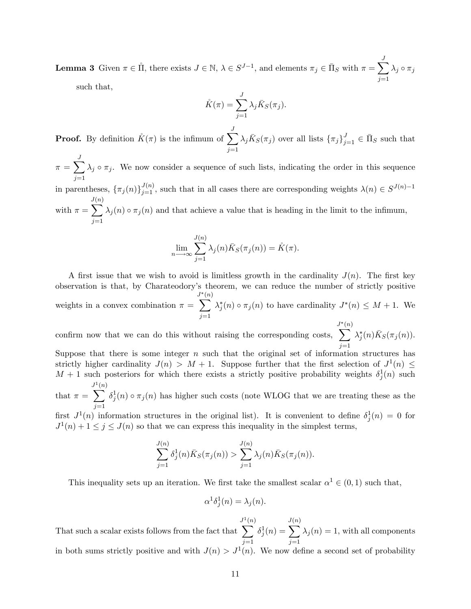**Lemma 3** Given  $\pi \in \mathring{\Pi}$ , there exists  $J \in \mathbb{N}$ ,  $\lambda \in S^{J-1}$ , and elements  $\pi_j \in \bar{\Pi}_S$  with  $\pi = \sum^J$  $j=1$  $\lambda_j \circ \pi_j$ 

such that,

$$
\mathring{K}(\pi) = \sum_{j=1}^{J} \lambda_j \bar{K}_S(\pi_j).
$$

**Proof.** By definition  $\mathring{K}(\pi)$  is the infimum of  $\sum_{n=1}^{J}$  $j=1$  $\lambda_j \bar{K}_S(\pi_j)$  over all lists  $\{\pi_j\}_{j=1}^J \in \bar{\Pi}_S$  such that

 $\pi = \sum_{i=1}^{J}$  $j=1$  $\lambda_j \circ \pi_j$ . We now consider a sequence of such lists, indicating the order in this sequence

in parentheses,  $\{\pi_j(n)\}_{j=1}^{J(n)}$ , such that in all cases there are corresponding weights  $\lambda(n) \in S^{J(n)-1}$ J  $\overline{\phantom{0}}$  $(n)$ 

with  $\pi =$  $j=1$  $\lambda_j(n) \circ \pi_j(n)$  and that achieve a value that is heading in the limit to the infimum,

$$
\lim_{n \to \infty} \sum_{j=1}^{J(n)} \lambda_j(n) \bar{K}_S(\pi_j(n)) = \mathring{K}(\pi).
$$

A first issue that we wish to avoid is limitless growth in the cardinality  $J(n)$ . The first key observation is that, by Charateodory's theorem, we can reduce the number of strictly positive weights in a convex combination  $\pi =$  $\overline{\mathcal{L}^{*}(n)}$ (n)  $j=1$  $\lambda_j^*(n) \circ \pi_j(n)$  to have cardinality  $J^*(n) \leq M+1$ . We

confirm now that we can do this without raising the corresponding costs,  $\overline{\mathcal{L}}^{*(n)}$ (n)  $j=1$  $\lambda_j^*(n) \overline{K}_S(\pi_j(n)).$ 

Suppose that there is some integer  $n$  such that the original set of information structures has strictly higher cardinality  $J(n) > M + 1$ . Suppose further that the first selection of  $J^1(n) \leq$  $M + 1$  such posteriors for which there exists a strictly positive probability weights  $\delta_j^1(n)$  such J 1(n)

that  $\pi =$  $\overline{\phantom{0}}$  $j=1$  $\delta_j^1(n) \circ \pi_j(n)$  has higher such costs (note WLOG that we are treating these as the

first  $J^1(n)$  information structures in the original list). It is convenient to define  $\delta_j^1(n) = 0$  for  $J^1(n) + 1 \le j \le J(n)$  so that we can express this inequality in the simplest terms,

$$
\sum_{j=1}^{J(n)} \delta_j^1(n) \bar{K}_S(\pi_j(n)) > \sum_{j=1}^{J(n)} \lambda_j(n) \bar{K}_S(\pi_j(n)).
$$

This inequality sets up an iteration. We first take the smallest scalar  $\alpha^1 \in (0,1)$  such that,

$$
\alpha^1 \delta_j^1(n) = \lambda_j(n).
$$

That such a scalar exists follows from the fact that  $J^1$  $\overline{\phantom{0}}$ (n)  $j=1$  $\delta^1_j(n) =$ J  $\overline{\phantom{0}}$  $(n)$  $j=1$  $\lambda_j(n) = 1$ , with all components in both sums strictly positive and with  $J(n) > J^1(n)$ . We now define a second set of probability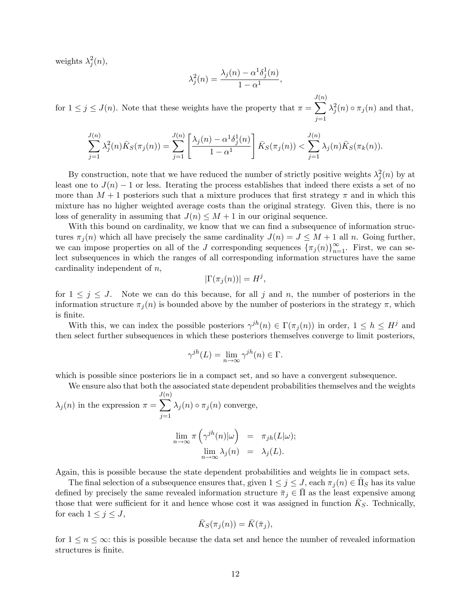weights  $\lambda_j^2(n)$ ,

$$
\lambda_j^2(n) = \frac{\lambda_j(n) - \alpha^1 \delta_j^1(n)}{1 - \alpha^1},
$$

for  $1 \leq j \leq J(n)$ . Note that these weights have the property that  $\pi =$ J  $\overline{\mathbf{v}}$ (n)  $j=1$  $\lambda_j^2(n) \circ \pi_j(n)$  and that,

$$
\sum_{j=1}^{J(n)} \lambda_j^2(n) \bar{K}_S(\pi_j(n)) = \sum_{j=1}^{J(n)} \left[ \frac{\lambda_j(n) - \alpha^1 \delta_j^1(n)}{1 - \alpha^1} \right] \bar{K}_S(\pi_j(n)) < \sum_{j=1}^{J(n)} \lambda_j(n) \bar{K}_S(\pi_k(n)).
$$

By construction, note that we have reduced the number of strictly positive weights  $\lambda_j^2(n)$  by at least one to  $J(n) - 1$  or less. Iterating the process establishes that indeed there exists a set of no more than  $M + 1$  posteriors such that a mixture produces that first strategy  $\pi$  and in which this mixture has no higher weighted average costs than the original strategy. Given this, there is no loss of generality in assuming that  $J(n) \leq M + 1$  in our original sequence.

With this bound on cardinality, we know that we can find a subsequence of information structures  $\pi_j(n)$  which all have precisely the same cardinality  $J(n) = J \leq M + 1$  all n. Going further, we can impose properties on all of the J corresponding sequences  $\{\pi_j(n)\}_{n=1}^{\infty}$ . First, we can select subsequences in which the ranges of all corresponding information structures have the same cardinality independent of n,

$$
|\Gamma(\pi_j(n))|=H^j,
$$

for  $1 \leq j \leq J$ . Note we can do this because, for all j and n, the number of posteriors in the information structure  $\pi_i(n)$  is bounded above by the number of posteriors in the strategy  $\pi$ , which is finite.

With this, we can index the possible posteriors  $\gamma^{jh}(n) \in \Gamma(\pi_j(n))$  in order,  $1 \leq h \leq H^j$  and then select further subsequences in which these posteriors themselves converge to limit posteriors,

$$
\gamma^{jh}(L) = \lim_{n \to \infty} \gamma^{jh}(n) \in \Gamma.
$$

which is possible since posteriors lie in a compact set, and so have a convergent subsequence.

We ensure also that both the associated state dependent probabilities themselves and the weights

 $\lambda_j(n)$  in the expression  $\pi =$ J  $\overline{\phantom{0}}$ (n)  $j=1$  $\lambda_j(n) \circ \pi_j(n)$  converge,

$$
\lim_{n \to \infty} \pi \left( \gamma^{jh}(n) | \omega \right) = \pi_{jh}(L|\omega);
$$
  

$$
\lim_{n \to \infty} \lambda_j(n) = \lambda_j(L).
$$

Again, this is possible because the state dependent probabilities and weights lie in compact sets.

The final selection of a subsequence ensures that, given  $1 \le j \le J$ , each  $\pi_j(n) \in \overline{\Pi}_S$  has its value defined by precisely the same revealed information structure  $\bar{\pi}_j \in \Pi$  as the least expensive among those that were sufficient for it and hence whose cost it was assigned in function  $\bar{K}_S$ . Technically, for each  $1 \leq j \leq J$ ,

$$
\bar{K}_S(\pi_j(n)) = \bar{K}(\bar{\pi}_j),
$$

for  $1 \le n \le \infty$ : this is possible because the data set and hence the number of revealed information structures is finite.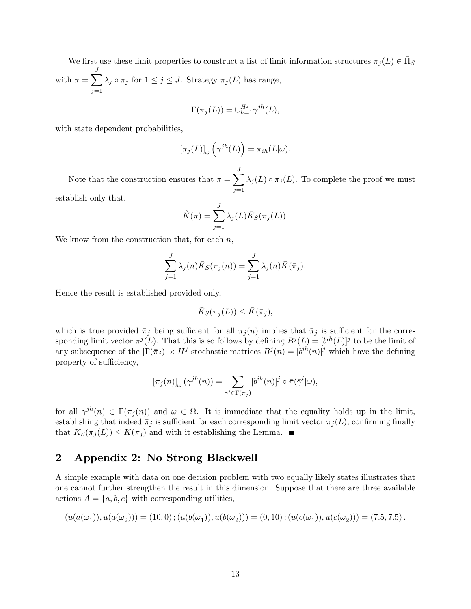We first use these limit properties to construct a list of limit information structures  $\pi_j(L) \in \bar{\Pi}_S$ with  $\pi = \sum_{i=1}^{J}$  $j=1$  $\lambda_j \circ \pi_j$  for  $1 \leq j \leq J$ . Strategy  $\pi_j (L)$  has range,

$$
\Gamma(\pi_j(L)) = \cup_{h=1}^{H^j} \gamma^{jh}(L),
$$

with state dependent probabilities,

$$
\left[\pi_j(L)\right]_{\omega}\left(\gamma^{jh}(L)\right)=\pi_{ih}(L|\omega).
$$

Note that the construction ensures that  $\pi = \sum_{n=1}^{J}$  $j=1$  $\lambda_j(L) \circ \pi_j(L)$ . To complete the proof we must establish only that,

$$
\mathring{K}(\pi) = \sum_{j=1}^{J} \lambda_j(L) \bar{K}_S(\pi_j(L)).
$$

We know from the construction that, for each  $n$ ,

$$
\sum_{j=1}^{J} \lambda_j(n) \bar{K}_S(\pi_j(n)) = \sum_{j=1}^{J} \lambda_j(n) \bar{K}(\bar{\pi}_j).
$$

Hence the result is established provided only,

$$
\bar{K}_S(\pi_j(L)) \leq \bar{K}(\bar{\pi}_j),
$$

which is true provided  $\bar{\pi}_j$  being sufficient for all  $\pi_j(n)$  implies that  $\bar{\pi}_j$  is sufficient for the corresponding limit vector  $\pi^{j}(L)$ . That this is so follows by defining  $B^{j}(L) = [b^{ih}(L)]^{j}$  to be the limit of any subsequence of the  $|\Gamma(\bar{\pi}_j)| \times H^j$  stochastic matrices  $B^j(n) = [b^{ih}(n)]^j$  which have the defining property of sufficiency,

$$
[\pi_j(n)]_{\omega}(\gamma^{jh}(n)) = \sum_{\bar{\gamma}^i \in \Gamma(\bar{\pi}_j)} [b^{ih}(n)]^j \circ \bar{\pi}(\bar{\gamma}^i|\omega),
$$

for all  $\gamma^{jh}(n) \in \Gamma(\pi_j(n))$  and  $\omega \in \Omega$ . It is immediate that the equality holds up in the limit, establishing that indeed  $\bar{\pi}_j$  is sufficient for each corresponding limit vector  $\pi_j(L)$ , confirming finally that  $\bar{K}_S(\pi_j(L)) \leq \bar{K}(\bar{\pi}_j)$  and with it establishing the Lemma.

## 2 Appendix 2: No Strong Blackwell

A simple example with data on one decision problem with two equally likely states illustrates that one cannot further strengthen the result in this dimension. Suppose that there are three available actions  $A = \{a, b, c\}$  with corresponding utilities,

$$
(u(a(\omega_1)), u(a(\omega_2))) = (10,0); (u(b(\omega_1)), u(b(\omega_2))) = (0,10); (u(c(\omega_1)), u(c(\omega_2))) = (7.5,7.5).
$$